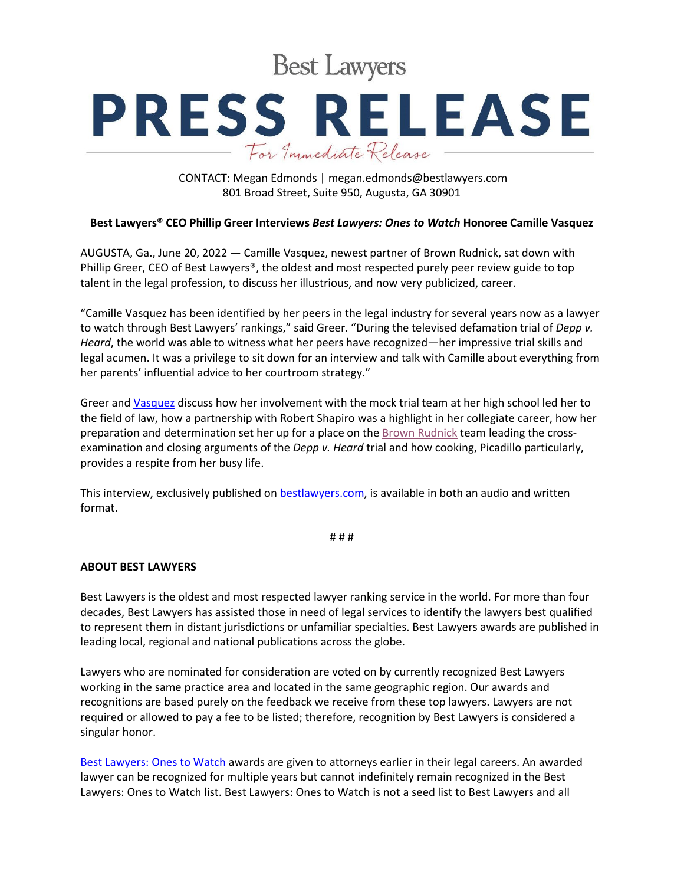**Best Lawyers** 

## **PRESS RELEASE** For Immediate Release

CONTACT: Megan Edmonds | megan.edmonds@bestlawyers.com 801 Broad Street, Suite 950, Augusta, GA 30901

## **Best Lawyers® CEO Phillip Greer Interviews** *Best Lawyers: Ones to Watch* **Honoree Camille Vasquez**

AUGUSTA, Ga., June 20, 2022 — Camille Vasquez, newest partner of Brown Rudnick, sat down with Phillip Greer, CEO of Best Lawyers®, the oldest and most respected purely peer review guide to top talent in the legal profession, to discuss her illustrious, and now very publicized, career.

"Camille Vasquez has been identified by her peers in the legal industry for several years now as a lawyer to watch through Best Lawyers' rankings," said Greer. "During the televised defamation trial of *Depp v. Heard*, the world was able to witness what her peers have recognized—her impressive trial skills and legal acumen. It was a privilege to sit down for an interview and talk with Camille about everything from her parents' influential advice to her courtroom strategy."

Greer an[d Vasquez](https://www.bestlawyers.com/lawyers/camille-m-vasquez/287637) discuss how her involvement with the mock trial team at her high school led her to the field of law, how a partnership with Robert Shapiro was a highlight in her collegiate career, how her preparation and determination set her up for a place on the [Brown Rudnick](https://www.bestlawyers.com/firms/brown-rudnick-llp/897/US) team leading the crossexamination and closing arguments of the *Depp v. Heard* trial and how cooking, Picadillo particularly, provides a respite from her busy life.

This interview, exclusively published o[n bestlawyers.com,](https://www.bestlawyers.com/article/interview-of-brown-rudnicks-camille-vasquez/4576) is available in both an audio and written format.

# # #

## **ABOUT BEST LAWYERS**

Best Lawyers is the oldest and most respected lawyer ranking service in the world. For more than four decades, Best Lawyers has assisted those in need of legal services to identify the lawyers best qualified to represent them in distant jurisdictions or unfamiliar specialties. Best Lawyers awards are published in leading local, regional and national publications across the globe.

Lawyers who are nominated for consideration are voted on by currently recognized Best Lawyers working in the same practice area and located in the same geographic region. Our awards and recognitions are based purely on the feedback we receive from these top lawyers. Lawyers are not required or allowed to pay a fee to be listed; therefore, recognition by Best Lawyers is considered a singular honor.

[Best Lawyers: Ones to Watch](https://www.bestlawyers.com/ones-to-watch/united-states) awards are given to attorneys earlier in their legal careers. An awarded lawyer can be recognized for multiple years but cannot indefinitely remain recognized in the Best Lawyers: Ones to Watch list. Best Lawyers: Ones to Watch is not a seed list to Best Lawyers and all